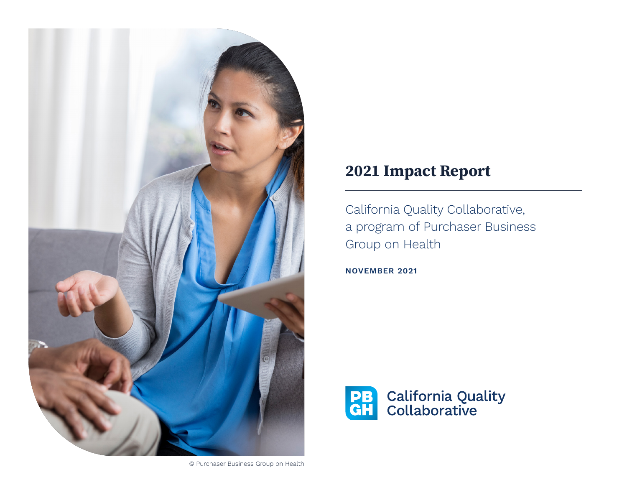

# 2021 Impact Report

California Quality Collaborative, a program of Purchaser Business Group on Health

**NOVEMBER 2021**

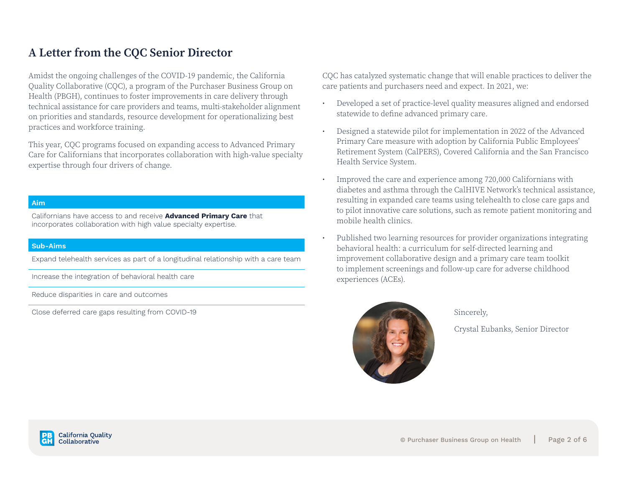### A Letter from the CQC Senior Director

Amidst the ongoing challenges of the COVID-19 pandemic, the California Quality Collaborative (CQC), a program of the Purchaser Business Group on Health (PBGH), continues to foster improvements in care delivery through technical assistance for care providers and teams, multi-stakeholder alignment on priorities and standards, resource development for operationalizing best practices and workforce training.

This year, CQC programs focused on expanding access to Advanced Primary Care for Californians that incorporates collaboration with high-value specialty expertise through four drivers of change.

#### **Aim**

Californians have access to and receive **Advanced Primary Care** that incorporates collaboration with high value specialty expertise.

#### **Sub-Aims**

Expand telehealth services as part of a longitudinal relationship with a care team

Increase the integration of behavioral health care

Reduce disparities in care and outcomes

Close deferred care gaps resulting from COVID-19

CQC has catalyzed systematic change that will enable practices to deliver the care patients and purchasers need and expect. In 2021, we:

- Developed a set of practice-level quality measures aligned and endorsed statewide to define advanced primary care.
- Designed a statewide pilot for implementation in 2022 of the Advanced Primary Care measure with adoption by California Public Employees' Retirement System (CalPERS), Covered California and the San Francisco Health Service System.
- Improved the care and experience among 720,000 Californians with diabetes and asthma through the CalHIVE Network's technical assistance, resulting in expanded care teams using telehealth to close care gaps and to pilot innovative care solutions, such as remote patient monitoring and mobile health clinics.
- Published two learning resources for provider organizations integrating behavioral health: a curriculum for self-directed learning and improvement collaborative design and a primary care team toolkit to implement screenings and follow-up care for adverse childhood experiences (ACEs).



Sincerely,

Crystal Eubanks, Senior Director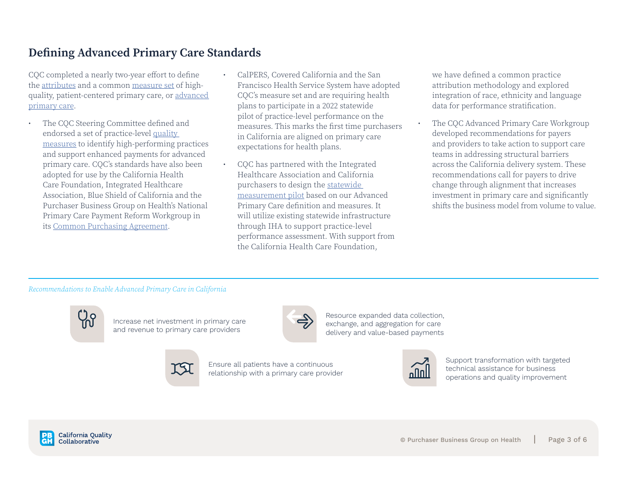### Defining Advanced Primary Care Standards

CQC completed a nearly two-year effort to define the [attributes](https://www.pbgh.org/wp-content/uploads/2020/12/apc-technical_lo.pdf) and a common [measure set](https://www.pbgh.org/wp-content/uploads/2021/06/CQC-Standards-SlidesFINAL.pdf) of highquality, patient-centered primary care, or [advanced](https://www.pbgh.org/initiative/advanced-primary-care/)  [primary care](https://www.pbgh.org/initiative/advanced-primary-care/).

- The CQC Steering Committee defined and endorsed a set of practice-level [quality](https://www.pbgh.org/wp-content/uploads/2021/06/CQC-Standards-SlidesFINAL.pdf)  [measures](https://www.pbgh.org/wp-content/uploads/2021/06/CQC-Standards-SlidesFINAL.pdf) to identify high-performing practices and support enhanced payments for advanced primary care. CQC's standards have also been adopted for use by the California Health Care Foundation, Integrated Healthcare Association, Blue Shield of California and the Purchaser Business Group on Health's National Primary Care Payment Reform Workgroup in its [Common Purchasing Agreement.](https://www.pbgh.org/wp-content/uploads/2021/10/PBGH-Common-Purchaser-Agreement.pdf)
- CalPERS, Covered California and the San Francisco Health Service System have adopted CQC's measure set and are requiring health plans to participate in a 2022 statewide pilot of practice-level performance on the measures. This marks the first time purchasers in California are aligned on primary care expectations for health plans.
- CQC has partnered with the Integrated Healthcare Association and California purchasers to design the [statewide](https://www.pbgh.org/wp-content/uploads/2021/10/CQC-APC-2022-Measurement-Pilot.pdf)  [measurement pilot](https://www.pbgh.org/wp-content/uploads/2021/10/CQC-APC-2022-Measurement-Pilot.pdf) based on our Advanced Primary Care definition and measures. It will utilize existing statewide infrastructure through IHA to support practice-level performance assessment. With support from the California Health Care Foundation,

we have defined a common practice attribution methodology and explored integration of race, ethnicity and language data for performance stratification.

• The CQC Advanced Primary Care Workgroup developed recommendations for payers and providers to take action to support care teams in addressing structural barriers across the California delivery system. These recommendations call for payers to drive change through alignment that increases investment in primary care and significantly shifts the business model from volume to value.

#### *Recommendations to Enable Advanced Primary Care in California*



Increase net investment in primary care and revenue to primary care providers



Resource expanded data collection, exchange, and aggregation for care delivery and value-based payments



Ensure all patients have a continuous relationship with a primary care provider



Support transformation with targeted technical assistance for business operations and quality improvement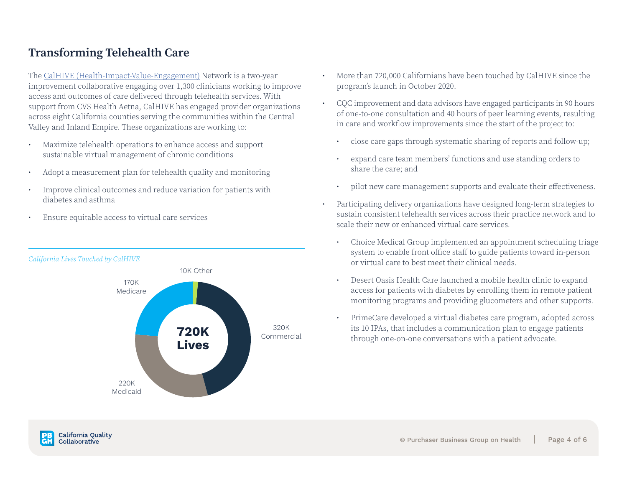### Transforming Telehealth Care

The [CalHIVE \(Health-Impact-Value-Engagement\)](https://www.pbgh.org/initiative/calhive/) Network is a two-year improvement collaborative engaging over 1,300 clinicians working to improve access and outcomes of care delivered through telehealth services. With support from CVS Health Aetna, CalHIVE has engaged provider organizations across eight California counties serving the communities within the Central Valley and Inland Empire. These organizations are working to:

- Maximize telehealth operations to enhance access and support sustainable virtual management of chronic conditions
- Adopt a measurement plan for telehealth quality and monitoring
- Improve clinical outcomes and reduce variation for patients with diabetes and asthma
- Ensure equitable access to virtual care services



- More than 720,000 Californians have been touched by CalHIVE since the program's launch in October 2020.
- CQC improvement and data advisors have engaged participants in 90 hours of one-to-one consultation and 40 hours of peer learning events, resulting in care and workflow improvements since the start of the project to:
	- close care gaps through systematic sharing of reports and follow-up;
	- expand care team members' functions and use standing orders to share the care; and
	- pilot new care management supports and evaluate their effectiveness.
- Participating delivery organizations have designed long-term strategies to sustain consistent telehealth services across their practice network and to scale their new or enhanced virtual care services.
	- Choice Medical Group implemented an appointment scheduling triage system to enable front office staff to guide patients toward in-person or virtual care to best meet their clinical needs.
	- Desert Oasis Health Care launched a mobile health clinic to expand access for patients with diabetes by enrolling them in remote patient monitoring programs and providing glucometers and other supports.
	- PrimeCare developed a virtual diabetes care program, adopted across its 10 IPAs, that includes a communication plan to engage patients through one-on-one conversations with a patient advocate.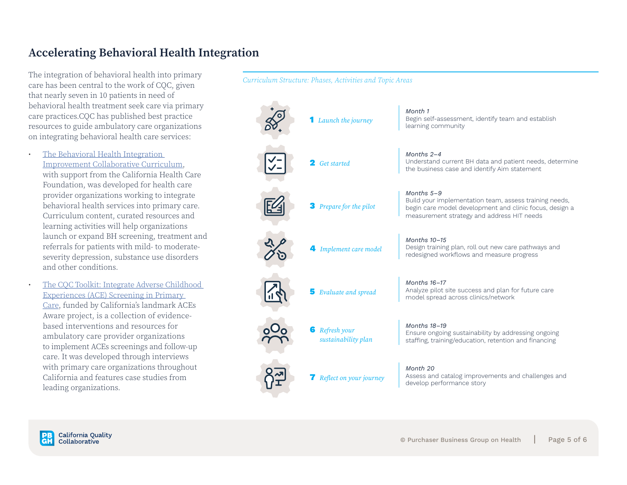### Accelerating Behavioral Health Integration

The integration of behavioral health into primary care has been central to the work of CQC, given that nearly seven in 10 patients in need of behavioral health treatment seek care via primary care practices.CQC has published best practice resources to guide ambulatory care organizations on integrating behavioral health care services:

The Behavioral Health Integration [Improvement Collaborative Curriculum,](https://www.pbgh.org/resource/download-file-for-behavioral-health-integration-improvement-collaborative-curriculum/) with support from the California Health Care Foundation, was developed for health care provider organizations working to integrate behavioral health services into primary care. Curriculum content, curated resources and learning activities will help organizations launch or expand BH screening, treatment and referrals for patients with mild- to moderateseverity depression, substance use disorders and other conditions.

• [The CQC Toolkit: Integrate Adverse Childhood](https://www.pbgh.org/resource/cqc-toolkit-implement-adverse-childhood-experiences-ace-screening-in-primary-care/)  [Experiences \(ACE\) Screening in Primary](https://www.pbgh.org/resource/cqc-toolkit-implement-adverse-childhood-experiences-ace-screening-in-primary-care/)  [Care](https://www.pbgh.org/resource/cqc-toolkit-implement-adverse-childhood-experiences-ace-screening-in-primary-care/), funded by California's landmark ACEs Aware project, is a collection of evidencebased interventions and resources for ambulatory care provider organizations to implement ACEs screenings and follow-up care. It was developed through interviews with primary care organizations throughout California and features case studies from leading organizations.



*Curriculum Structure: Phases, Activities and Topic Areas*